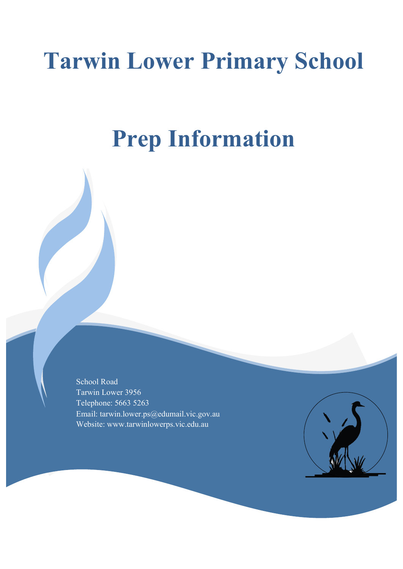# **Tarwin Lower Primary School**

## **Prep Information**

School Road Tarwin Lower 3956 Telephone: 5663 5263 Email: tarwin.lower.ps@edumail.vic.gov.au Website: www.tarwinlowerps.vic.edu.au

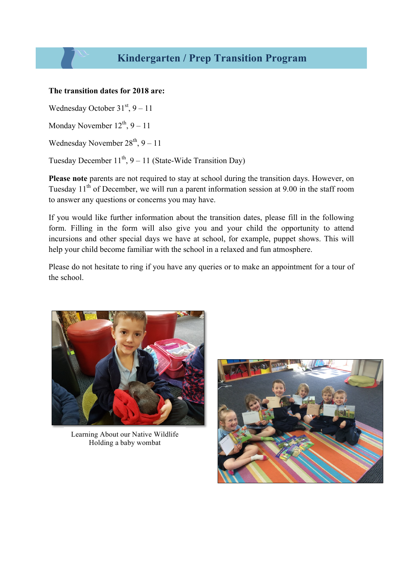#### **The transition dates for 2018 are:**

Wednesday October  $31<sup>st</sup>$ , 9 – 11

Monday November  $12^{th}$ , 9 – 11

Wednesday November  $28<sup>th</sup>$ , 9 – 11

Tuesday December  $11^{th}$ ,  $9 - 11$  (State-Wide Transition Day)

**Please note** parents are not required to stay at school during the transition days. However, on Tuesday  $11<sup>th</sup>$  of December, we will run a parent information session at 9.00 in the staff room to answer any questions or concerns you may have.

If you would like further information about the transition dates, please fill in the following form. Filling in the form will also give you and your child the opportunity to attend incursions and other special days we have at school, for example, puppet shows. This will help your child become familiar with the school in a relaxed and fun atmosphere.

Please do not hesitate to ring if you have any queries or to make an appointment for a tour of the school.



Learning About our Native Wildlife Holding a baby wombat

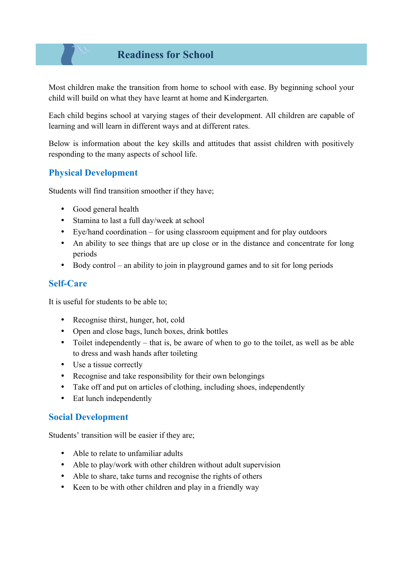## **Readiness for School**

Most children make the transition from home to school with ease. By beginning school your child will build on what they have learnt at home and Kindergarten.

Each child begins school at varying stages of their development. All children are capable of learning and will learn in different ways and at different rates.

Below is information about the key skills and attitudes that assist children with positively responding to the many aspects of school life.

## **Physical Development**

Students will find transition smoother if they have;

- Good general health
- Stamina to last a full day/week at school
- Eye/hand coordination for using classroom equipment and for play outdoors
- An ability to see things that are up close or in the distance and concentrate for long periods
- Body control an ability to join in playground games and to sit for long periods

### **Self-Care**

It is useful for students to be able to;

- Recognise thirst, hunger, hot, cold
- Open and close bags, lunch boxes, drink bottles
- Toilet independently that is, be aware of when to go to the toilet, as well as be able to dress and wash hands after toileting
- Use a tissue correctly
- Recognise and take responsibility for their own belongings
- Take off and put on articles of clothing, including shoes, independently
- Eat lunch independently

### **Social Development**

Students' transition will be easier if they are;

- Able to relate to unfamiliar adults
- Able to play/work with other children without adult supervision
- Able to share, take turns and recognise the rights of others
- Keen to be with other children and play in a friendly way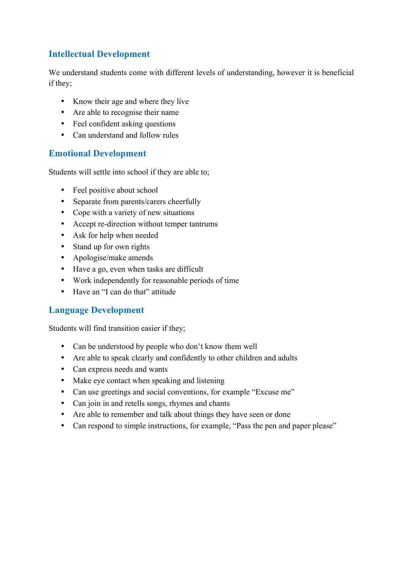## **Intellectual Development**

We understand students come with different levels of understanding, however it is beneficial if they;

- Know their age and where they live
- Are able to recognise their name
- Feel confident asking questions
- Can understand and follow rules

### **Emotional Development**

Students will settle into school if they are able to;

- Feel positive about school
- Separate from parents/carers cheerfully
- Cope with a variety of new situations
- Accept re-direction without temper tantrums
- Ask for help when needed
- Stand up for own rights
- Apologise/make amends
- Have a go, even when tasks are difficult
- Work independently for reasonable periods of time
- Have an "I can do that" attitude

#### **Language Development**

Students will find transition easier if they;

- Can be understood by people who don't know them well
- Are able to speak clearly and confidently to other children and adults
- Can express needs and wants
- Make eye contact when speaking and listening
- Can use greetings and social conventions, for example "Excuse me"
- Can join in and retells songs, rhymes and chants
- Are able to remember and talk about things they have seen or done
- Can respond to simple instructions, for example, "Pass the pen and paper please"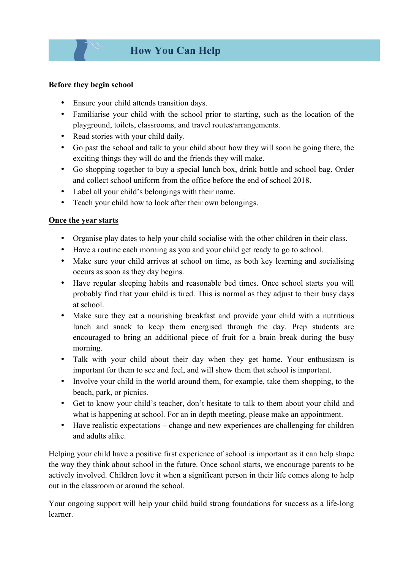#### **Before they begin school**

- Ensure your child attends transition days.
- Familiarise your child with the school prior to starting, such as the location of the playground, toilets, classrooms, and travel routes/arrangements.
- Read stories with your child daily.
- Go past the school and talk to your child about how they will soon be going there, the exciting things they will do and the friends they will make.
- Go shopping together to buy a special lunch box, drink bottle and school bag. Order and collect school uniform from the office before the end of school 2018.
- Label all your child's belongings with their name.
- Teach your child how to look after their own belongings.

#### **Once the year starts**

- Organise play dates to help your child socialise with the other children in their class.
- Have a routine each morning as you and your child get ready to go to school.
- Make sure your child arrives at school on time, as both key learning and socialising occurs as soon as they day begins.
- Have regular sleeping habits and reasonable bed times. Once school starts you will probably find that your child is tired. This is normal as they adjust to their busy days at school.
- Make sure they eat a nourishing breakfast and provide your child with a nutritious lunch and snack to keep them energised through the day. Prep students are encouraged to bring an additional piece of fruit for a brain break during the busy morning.
- Talk with your child about their day when they get home. Your enthusiasm is important for them to see and feel, and will show them that school is important.
- Involve your child in the world around them, for example, take them shopping, to the beach, park, or picnics.
- Get to know your child's teacher, don't hesitate to talk to them about your child and what is happening at school. For an in depth meeting, please make an appointment.
- Have realistic expectations change and new experiences are challenging for children and adults alike.

Helping your child have a positive first experience of school is important as it can help shape the way they think about school in the future. Once school starts, we encourage parents to be actively involved. Children love it when a significant person in their life comes along to help out in the classroom or around the school.

Your ongoing support will help your child build strong foundations for success as a life-long learner.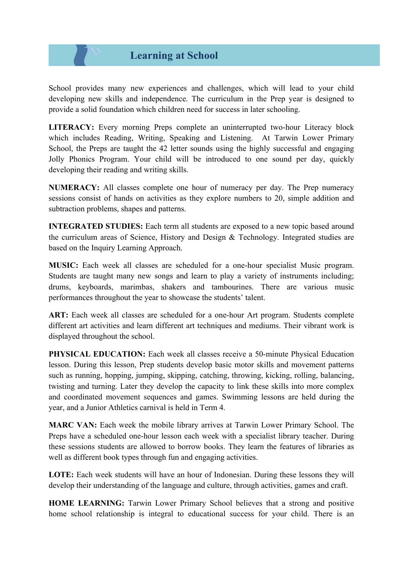## **Learning at School**

School provides many new experiences and challenges, which will lead to your child developing new skills and independence. The curriculum in the Prep year is designed to provide a solid foundation which children need for success in later schooling.

**LITERACY:** Every morning Preps complete an uninterrupted two-hour Literacy block which includes Reading, Writing, Speaking and Listening. At Tarwin Lower Primary School, the Preps are taught the 42 letter sounds using the highly successful and engaging Jolly Phonics Program. Your child will be introduced to one sound per day, quickly developing their reading and writing skills.

**NUMERACY:** All classes complete one hour of numeracy per day. The Prep numeracy sessions consist of hands on activities as they explore numbers to 20, simple addition and subtraction problems, shapes and patterns.

**INTEGRATED STUDIES:** Each term all students are exposed to a new topic based around the curriculum areas of Science, History and Design & Technology. Integrated studies are based on the Inquiry Learning Approach.

**MUSIC:** Each week all classes are scheduled for a one-hour specialist Music program. Students are taught many new songs and learn to play a variety of instruments including; drums, keyboards, marimbas, shakers and tambourines. There are various music performances throughout the year to showcase the students' talent.

ART: Each week all classes are scheduled for a one-hour Art program. Students complete different art activities and learn different art techniques and mediums. Their vibrant work is displayed throughout the school.

**PHYSICAL EDUCATION:** Each week all classes receive a 50-minute Physical Education lesson. During this lesson, Prep students develop basic motor skills and movement patterns such as running, hopping, jumping, skipping, catching, throwing, kicking, rolling, balancing, twisting and turning. Later they develop the capacity to link these skills into more complex and coordinated movement sequences and games. Swimming lessons are held during the year, and a Junior Athletics carnival is held in Term 4.

**MARC VAN:** Each week the mobile library arrives at Tarwin Lower Primary School. The Preps have a scheduled one-hour lesson each week with a specialist library teacher. During these sessions students are allowed to borrow books. They learn the features of libraries as well as different book types through fun and engaging activities.

LOTE: Each week students will have an hour of Indonesian. During these lessons they will develop their understanding of the language and culture, through activities, games and craft.

**HOME LEARNING:** Tarwin Lower Primary School believes that a strong and positive home school relationship is integral to educational success for your child. There is an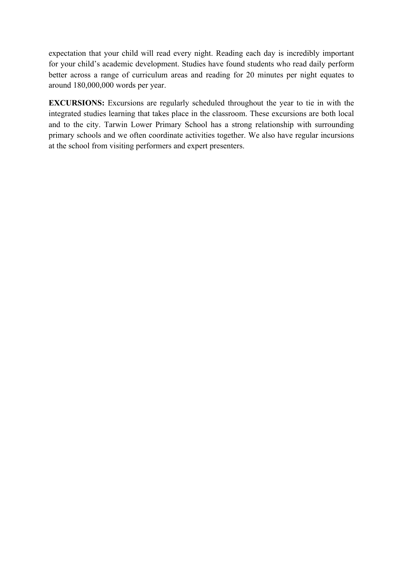expectation that your child will read every night. Reading each day is incredibly important for your child's academic development. Studies have found students who read daily perform better across a range of curriculum areas and reading for 20 minutes per night equates to around 180,000,000 words per year.

**EXCURSIONS:** Excursions are regularly scheduled throughout the year to tie in with the integrated studies learning that takes place in the classroom. These excursions are both local and to the city. Tarwin Lower Primary School has a strong relationship with surrounding primary schools and we often coordinate activities together. We also have regular incursions at the school from visiting performers and expert presenters.